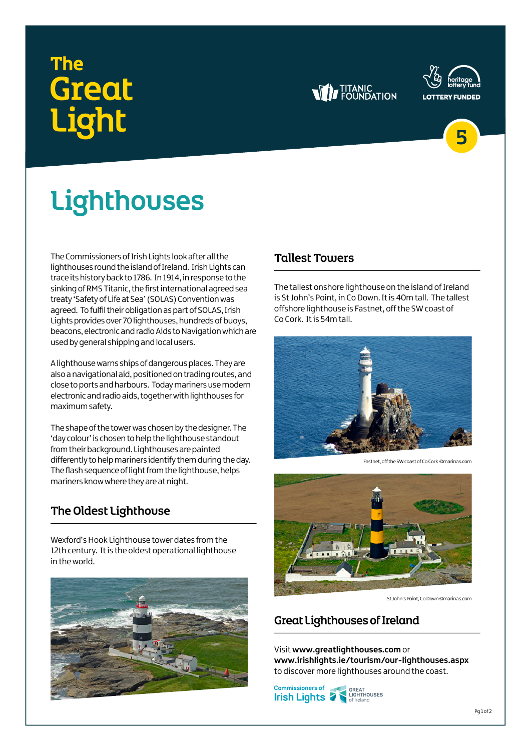## The **Great** .iaht







# **Lighthouses**

The Commissioners of Irish Lights look after all the lighthouses round the island of Ireland. Irish Lights can trace its history back to 1786. In 1914, in response to the sinking of RMS Titanic, the first international agreed sea treaty 'Safety of Life at Sea' (SOLAS) Convention was agreed. To fulfil their obligation as part of SOLAS, Irish Lights provides over 70 lighthouses, hundreds of buoys, beacons, electronic and radio Aids to Navigation which are used by general shipping and local users.

A lighthouse warns ships of dangerous places. They are also a navigational aid, positioned on trading routes, and close to ports and harbours. Today mariners use modern electronic and radio aids, together with lighthouses for maximum safety.

The shape of the tower was chosen by the designer. The 'day colour' is chosen to help the lighthouse standout from their background. Lighthouses are painted differently to help mariners identify them during the day. The flash sequence of light from the lighthouse, helps mariners know where they are at night.

### The Oldest Lighthouse

Wexford's Hook Lighthouse tower dates from the 12th century. It is the oldest operational lighthouse in the world.



#### **Tallest Towers**

The tallest onshore lighthouse on the island of Ireland is St John's Point, in Co Down. It is 40m tall. The tallest offshore lighthouse is Fastnet, off the SW coast of Co Cork. It is 54m tall.



Fastnet, off the SW coast of Co Cork ©marinas.com



St John's Point, Co Down ©marinas.com

#### Great Lighthouses of Ireland

Visit **[www.greatlighthouses.com](http://www.greatlighthouses.com/)** or **[www.irishlights.ie/tourism/our-lighthouses.aspx](http://www.irishlights.ie/tourism/our-lighthouses.aspx)** to discover more lighthouses around the coast.

**Commissioners of** GREAT<br>LIGHTHOUSES **Irish Lights**